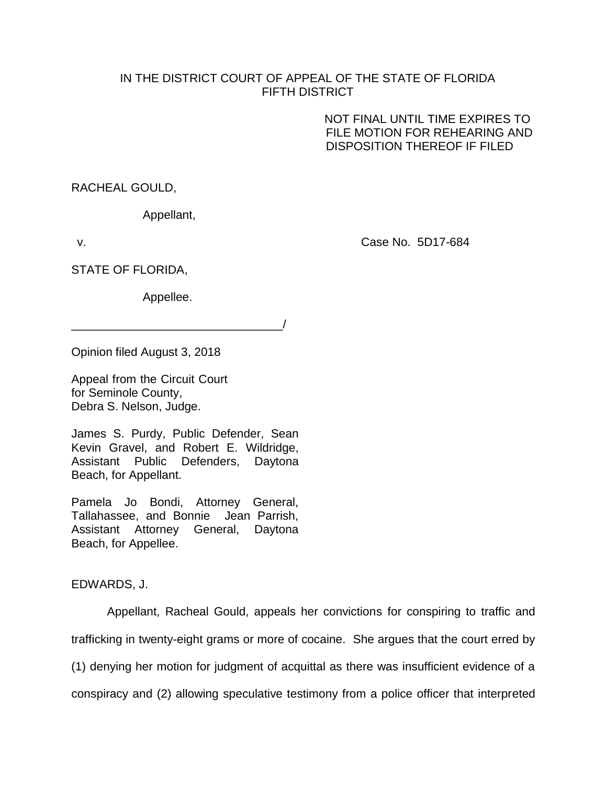## IN THE DISTRICT COURT OF APPEAL OF THE STATE OF FLORIDA FIFTH DISTRICT

 NOT FINAL UNTIL TIME EXPIRES TO FILE MOTION FOR REHEARING AND DISPOSITION THEREOF IF FILED

RACHEAL GOULD,

Appellant,

v. Case No. 5D17-684

STATE OF FLORIDA,

Appellee.

\_\_\_\_\_\_\_\_\_\_\_\_\_\_\_\_\_\_\_\_\_\_\_\_\_\_\_\_\_\_\_\_/

Opinion filed August 3, 2018

Appeal from the Circuit Court for Seminole County, Debra S. Nelson, Judge.

James S. Purdy, Public Defender, Sean Kevin Gravel, and Robert E. Wildridge, Assistant Public Defenders, Daytona Beach, for Appellant.

Pamela Jo Bondi, Attorney General, Tallahassee, and Bonnie Jean Parrish, Assistant Attorney General, Daytona Beach, for Appellee.

EDWARDS, J.

Appellant, Racheal Gould, appeals her convictions for conspiring to traffic and trafficking in twenty-eight grams or more of cocaine. She argues that the court erred by (1) denying her motion for judgment of acquittal as there was insufficient evidence of a conspiracy and (2) allowing speculative testimony from a police officer that interpreted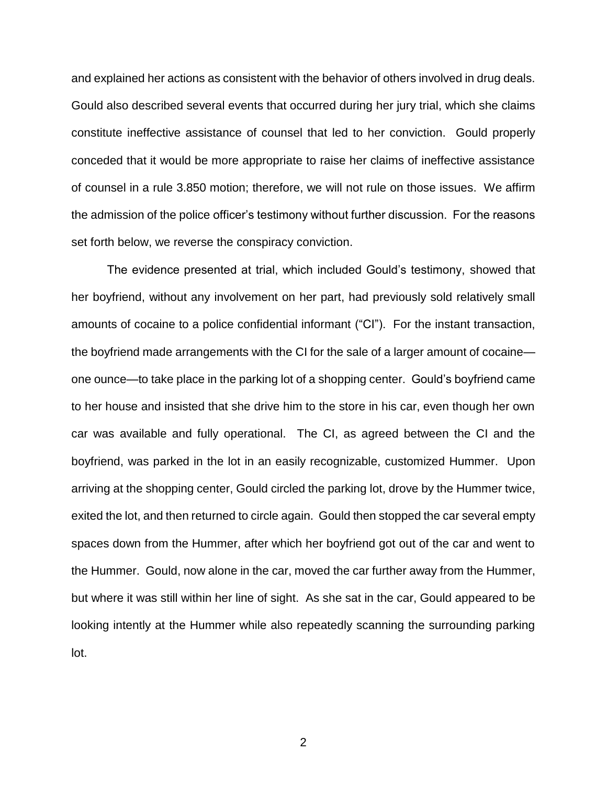and explained her actions as consistent with the behavior of others involved in drug deals. Gould also described several events that occurred during her jury trial, which she claims constitute ineffective assistance of counsel that led to her conviction. Gould properly conceded that it would be more appropriate to raise her claims of ineffective assistance of counsel in a rule 3.850 motion; therefore, we will not rule on those issues. We affirm the admission of the police officer's testimony without further discussion. For the reasons set forth below, we reverse the conspiracy conviction.

The evidence presented at trial, which included Gould's testimony, showed that her boyfriend, without any involvement on her part, had previously sold relatively small amounts of cocaine to a police confidential informant ("CI"). For the instant transaction, the boyfriend made arrangements with the CI for the sale of a larger amount of cocaine one ounce—to take place in the parking lot of a shopping center. Gould's boyfriend came to her house and insisted that she drive him to the store in his car, even though her own car was available and fully operational. The CI, as agreed between the CI and the boyfriend, was parked in the lot in an easily recognizable, customized Hummer. Upon arriving at the shopping center, Gould circled the parking lot, drove by the Hummer twice, exited the lot, and then returned to circle again. Gould then stopped the car several empty spaces down from the Hummer, after which her boyfriend got out of the car and went to the Hummer. Gould, now alone in the car, moved the car further away from the Hummer, but where it was still within her line of sight. As she sat in the car, Gould appeared to be looking intently at the Hummer while also repeatedly scanning the surrounding parking lot.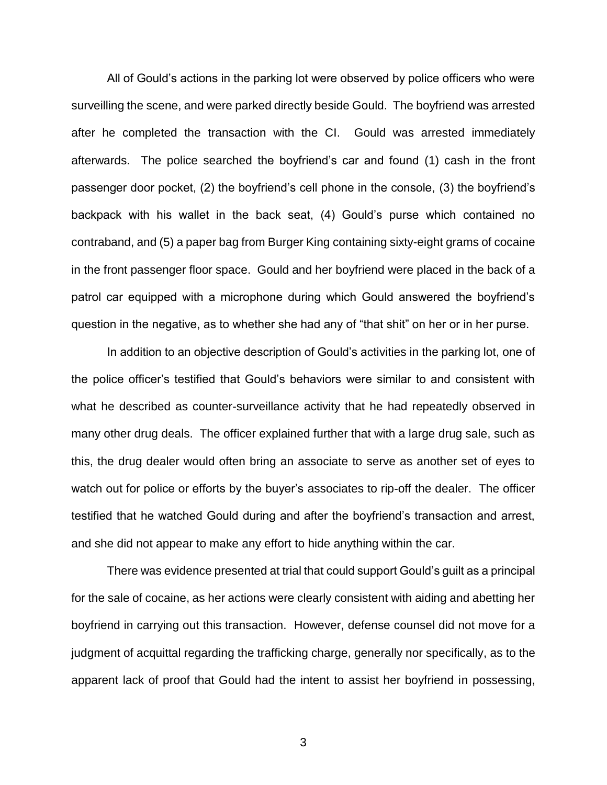All of Gould's actions in the parking lot were observed by police officers who were surveilling the scene, and were parked directly beside Gould. The boyfriend was arrested after he completed the transaction with the CI. Gould was arrested immediately afterwards. The police searched the boyfriend's car and found (1) cash in the front passenger door pocket, (2) the boyfriend's cell phone in the console, (3) the boyfriend's backpack with his wallet in the back seat, (4) Gould's purse which contained no contraband, and (5) a paper bag from Burger King containing sixty-eight grams of cocaine in the front passenger floor space. Gould and her boyfriend were placed in the back of a patrol car equipped with a microphone during which Gould answered the boyfriend's question in the negative, as to whether she had any of "that shit" on her or in her purse.

In addition to an objective description of Gould's activities in the parking lot, one of the police officer's testified that Gould's behaviors were similar to and consistent with what he described as counter-surveillance activity that he had repeatedly observed in many other drug deals. The officer explained further that with a large drug sale, such as this, the drug dealer would often bring an associate to serve as another set of eyes to watch out for police or efforts by the buyer's associates to rip-off the dealer. The officer testified that he watched Gould during and after the boyfriend's transaction and arrest, and she did not appear to make any effort to hide anything within the car.

There was evidence presented at trial that could support Gould's guilt as a principal for the sale of cocaine, as her actions were clearly consistent with aiding and abetting her boyfriend in carrying out this transaction. However, defense counsel did not move for a judgment of acquittal regarding the trafficking charge, generally nor specifically, as to the apparent lack of proof that Gould had the intent to assist her boyfriend in possessing,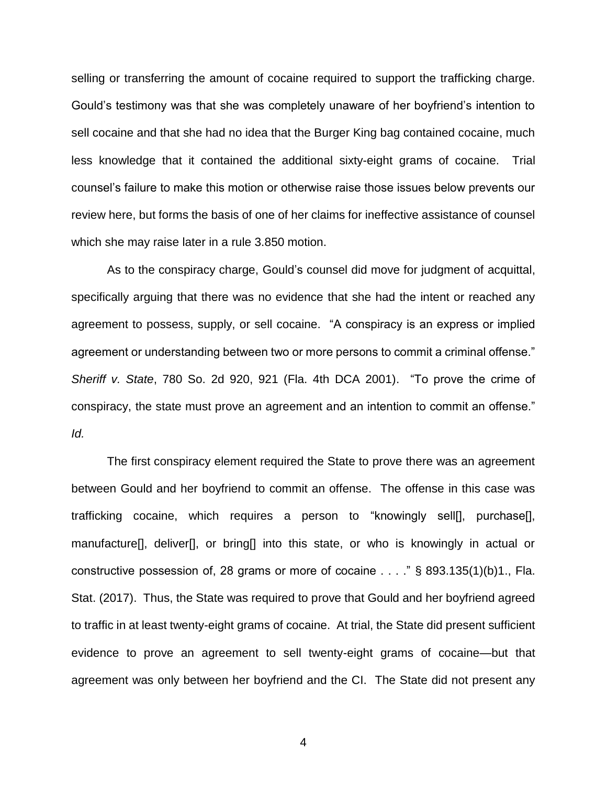selling or transferring the amount of cocaine required to support the trafficking charge. Gould's testimony was that she was completely unaware of her boyfriend's intention to sell cocaine and that she had no idea that the Burger King bag contained cocaine, much less knowledge that it contained the additional sixty-eight grams of cocaine. Trial counsel's failure to make this motion or otherwise raise those issues below prevents our review here, but forms the basis of one of her claims for ineffective assistance of counsel which she may raise later in a rule 3.850 motion.

As to the conspiracy charge, Gould's counsel did move for judgment of acquittal, specifically arguing that there was no evidence that she had the intent or reached any agreement to possess, supply, or sell cocaine. "A conspiracy is an express or implied agreement or understanding between two or more persons to commit a criminal offense." *Sheriff v. State*, 780 So. 2d 920, 921 (Fla. 4th DCA 2001). "To prove the crime of conspiracy, the state must prove an agreement and an intention to commit an offense." *Id.*

The first conspiracy element required the State to prove there was an agreement between Gould and her boyfriend to commit an offense. The offense in this case was trafficking cocaine, which requires a person to "knowingly sell[], purchase[], manufacture[], deliver[], or bring[] into this state, or who is knowingly in actual or constructive possession of, 28 grams or more of cocaine . . . ." § 893.135(1)(b)1., Fla. Stat. (2017). Thus, the State was required to prove that Gould and her boyfriend agreed to traffic in at least twenty-eight grams of cocaine. At trial, the State did present sufficient evidence to prove an agreement to sell twenty-eight grams of cocaine—but that agreement was only between her boyfriend and the CI. The State did not present any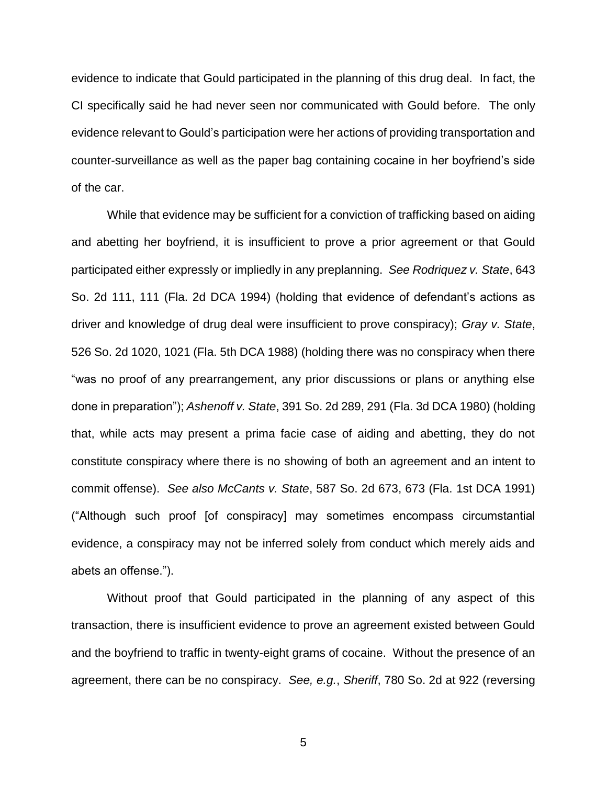evidence to indicate that Gould participated in the planning of this drug deal. In fact, the CI specifically said he had never seen nor communicated with Gould before. The only evidence relevant to Gould's participation were her actions of providing transportation and counter-surveillance as well as the paper bag containing cocaine in her boyfriend's side of the car.

While that evidence may be sufficient for a conviction of trafficking based on aiding and abetting her boyfriend, it is insufficient to prove a prior agreement or that Gould participated either expressly or impliedly in any preplanning. *See Rodriquez v. State*, 643 So. 2d 111, 111 (Fla. 2d DCA 1994) (holding that evidence of defendant's actions as driver and knowledge of drug deal were insufficient to prove conspiracy); *Gray v. State*, 526 So. 2d 1020, 1021 (Fla. 5th DCA 1988) (holding there was no conspiracy when there "was no proof of any prearrangement, any prior discussions or plans or anything else done in preparation"); *Ashenoff v. State*, 391 So. 2d 289, 291 (Fla. 3d DCA 1980) (holding that, while acts may present a prima facie case of aiding and abetting, they do not constitute conspiracy where there is no showing of both an agreement and an intent to commit offense). *See also McCants v. State*, 587 So. 2d 673, 673 (Fla. 1st DCA 1991) ("Although such proof [of conspiracy] may sometimes encompass circumstantial evidence, a conspiracy may not be inferred solely from conduct which merely aids and abets an offense.").

Without proof that Gould participated in the planning of any aspect of this transaction, there is insufficient evidence to prove an agreement existed between Gould and the boyfriend to traffic in twenty-eight grams of cocaine. Without the presence of an agreement, there can be no conspiracy. *See, e.g.*, *Sheriff*, 780 So. 2d at 922 (reversing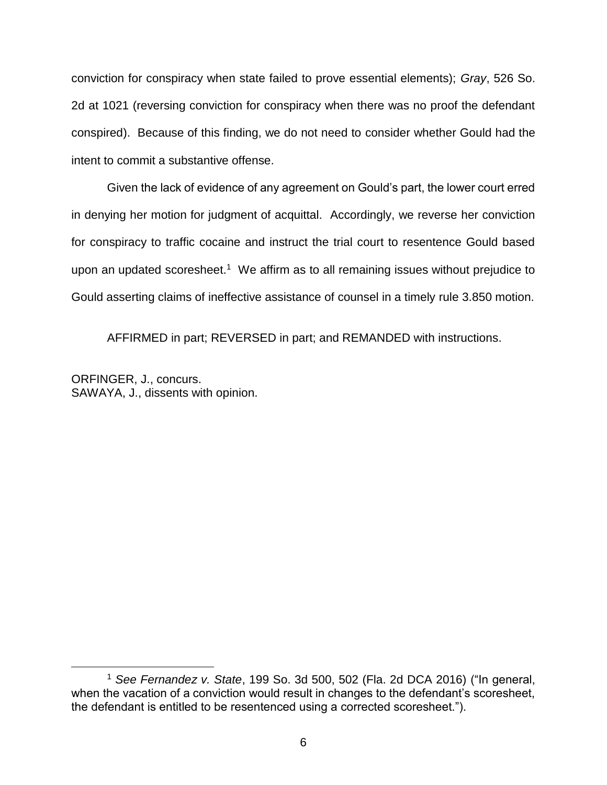conviction for conspiracy when state failed to prove essential elements); *Gray*, 526 So. 2d at 1021 (reversing conviction for conspiracy when there was no proof the defendant conspired). Because of this finding, we do not need to consider whether Gould had the intent to commit a substantive offense.

Given the lack of evidence of any agreement on Gould's part, the lower court erred in denying her motion for judgment of acquittal. Accordingly, we reverse her conviction for conspiracy to traffic cocaine and instruct the trial court to resentence Gould based upon an updated scoresheet.<sup>1</sup> We affirm as to all remaining issues without prejudice to Gould asserting claims of ineffective assistance of counsel in a timely rule 3.850 motion.

AFFIRMED in part; REVERSED in part; and REMANDED with instructions.

ORFINGER, J., concurs. SAWAYA, J., dissents with opinion.

 $\overline{a}$ 

<sup>1</sup> *See Fernandez v. State*, 199 So. 3d 500, 502 (Fla. 2d DCA 2016) ("In general, when the vacation of a conviction would result in changes to the defendant's scoresheet. the defendant is entitled to be resentenced using a corrected scoresheet.").